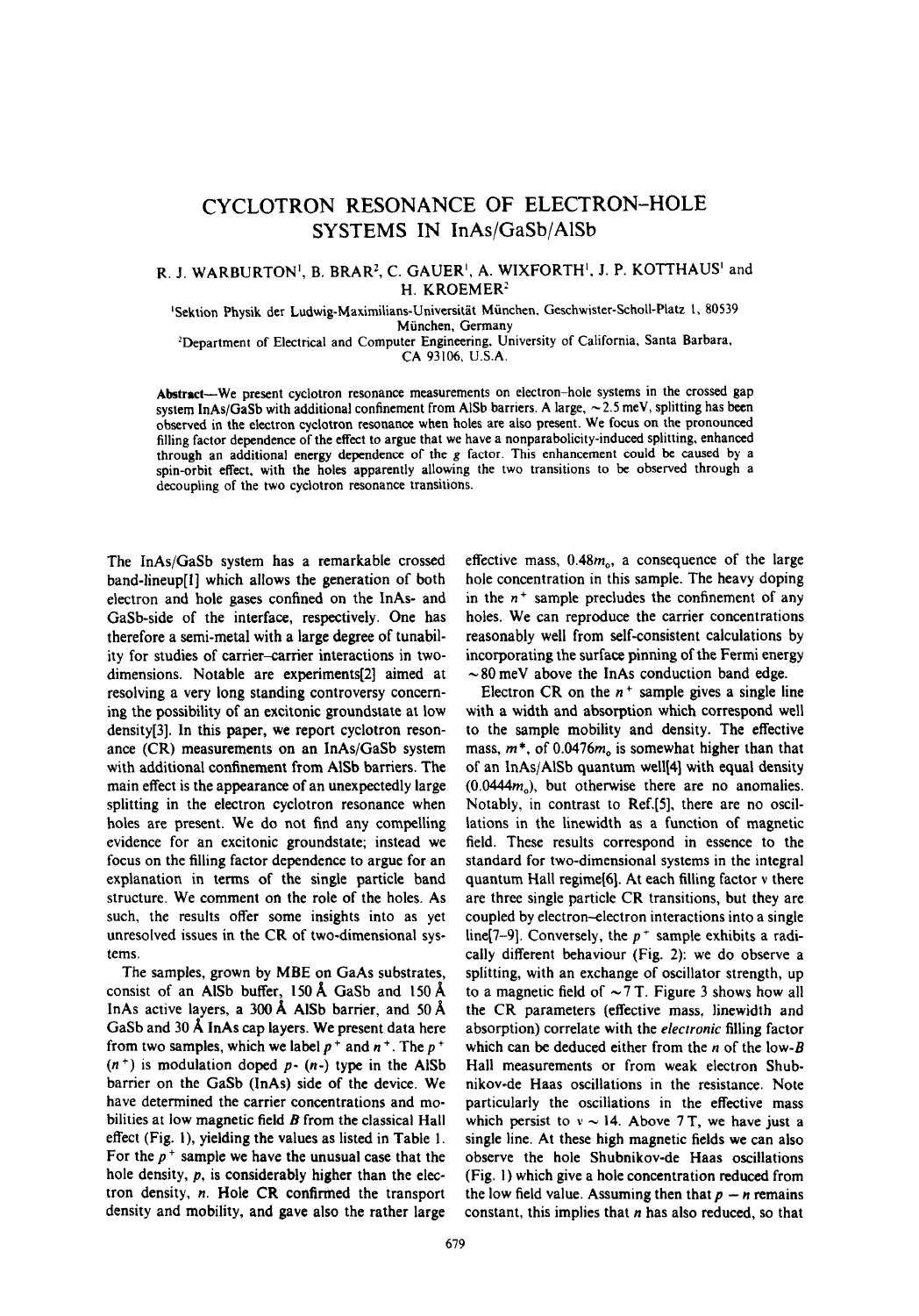## CYCLOTRON RESONANCE OF ELECTRON-HOLE SYSTEMS IN InAs/GaSb/AlSb

## R. J. WARBURTON', B. BRAR', C. GAUER', A. WIXFORTH', J. P. KOTTHAUS' and H. KROEMER:

'Sektion Physik der Ludwig-Maximilians-Universitat Munchen. Geschwister-Scholl-Platz 1, 80539 Miinchen, Germany

\*Department of Electrical and Computer Engineering, University of California, Santa Barbara, CA 93106, U.S.A.

**Abstract-We** present cyclotron resonance measurements on electron-hole systems in the crossed gap system InAs/GaSb with additional confinement from AlSb barriers. A large,  $\sim$  2.5 meV, splitting has been observed in the electron cyclotron resonance when holes are also present. We focus on the pronounced filling factor dependence of the effect to argue that we have a nonparabolicity-induced splitting, enhanced through an additional energy dependence of the g factor. This enhancement could be caused by a spin-orbit effect, with the holes apparently allowing the two transitions to be observed through a decoupling of the two cyclotron resonance transitions.

The InAs/GaSb system has a remarkable crossed band-lineup(l] which allows the generation of both electron and hole gases confined on the InAs- and GaSb-side of the interface, respectively. One has therefore a semi-metal with a large degree of tunability for studies of carrier-carrier interactions in twodimensions. Notable are experiments[2] aimed at resolving a very long standing controversy concerning the possibility of an excitonic groundstate at low density[3]. In this paper, we report cyclotron resonance (CR) measurements on an InAs/GaSb system with additional confinement from AlSb barriers. The main effect is the appearance of an unexpectedly large splitting in the electron cyclotron resonance when holes are present. We do not find any compelling evidence for an excitonic groundstate; instead we focus on the filling factor dependence to argue for an explanation in terms of the single particle band structure. We comment on the role of the holes. As such, the results offer some insights into as yet unresolved issues in the CR of two-dimensional systems.

The samples, grown by MBE on GaAs substrates, consist of an AlSb buffer, 150 A GaSb and 150 A InAs active layers, a 300 A AlSb barrier, and 50 A GaSb and 30 A InAs cap layers. We present data here from two samples, which we label  $p^+$  and  $n^+$ . The  $p^+$  $(n<sup>+</sup>)$  is modulation doped p-  $(n<sup>-</sup>)$  type in the AlSb barrier on the GaSb (InAs) side of the device. We have determined the carrier concentrations and mobilities at low magnetic field *B* from the classical Hall effect (Fig. I), yielding the values as listed in Table 1. For the  $p<sup>+</sup>$  sample we have the unusual case that the hole density,  $p$ , is considerably higher than the electron density, n. Hole CR confirmed the transport density and mobility, and gave also the rather large

effective mass,  $0.48m<sub>o</sub>$ , a consequence of the large hole concentration in this sample. The heavy doping in the  $n^+$  sample precludes the confinement of any holes. We can reproduce the carrier concentrations reasonably well from self-consistent calculations by incorporating the surface pinning of the Fermi energy  $\sim 80$  meV above the InAs conduction band edge.

Electron CR on the  $n^+$  sample gives a single line with a width and absorption which correspond well to the sample mobility and density. The effective mass, *m\*,* of O.O476m, is somewhat higher than that of an  $InAs/AlSb$  quantum well $[4]$  with equal density *(O.O444m,),* but otherwise there are no anomalies. Notably, in contrast to Ref.[S], there are no oscillations in the linewidth as a function of magnetic field. These results correspond in essence to the standard for two-dimensional systems in the integral quantum Hall regime(6]. At each filling factor v there are three single particle CR transitions, but they are coupled by electron-electron interactions into a single line(7-9). Conversely, the  $p^+$  sample exhibits a radically different behaviour (Fig. 2): we do observe a splitting, with an exchange of oscillator strength, up to a magnetic field of  $\sim$  7 T. Figure 3 shows how all the CR parameters (effective mass, linewidth and absorption) correlate with the *electronic* filling factor which can be deduced either from the n of the *low-B* Hall measurements or from weak electron Shubnikov-de Haas oscillations in the resistance. Note particularly the oscillations in the effective mass which persist to  $v \sim 14$ . Above 7 T, we have just a single line. At these high magnetic fields we can also observe the hole Shubnikov-de Haas oscillations (Fig. 1) which give a hole concentration reduced from the low field value. Assuming then that  $p - n$  remains constant, this implies that  $n$  has also reduced, so that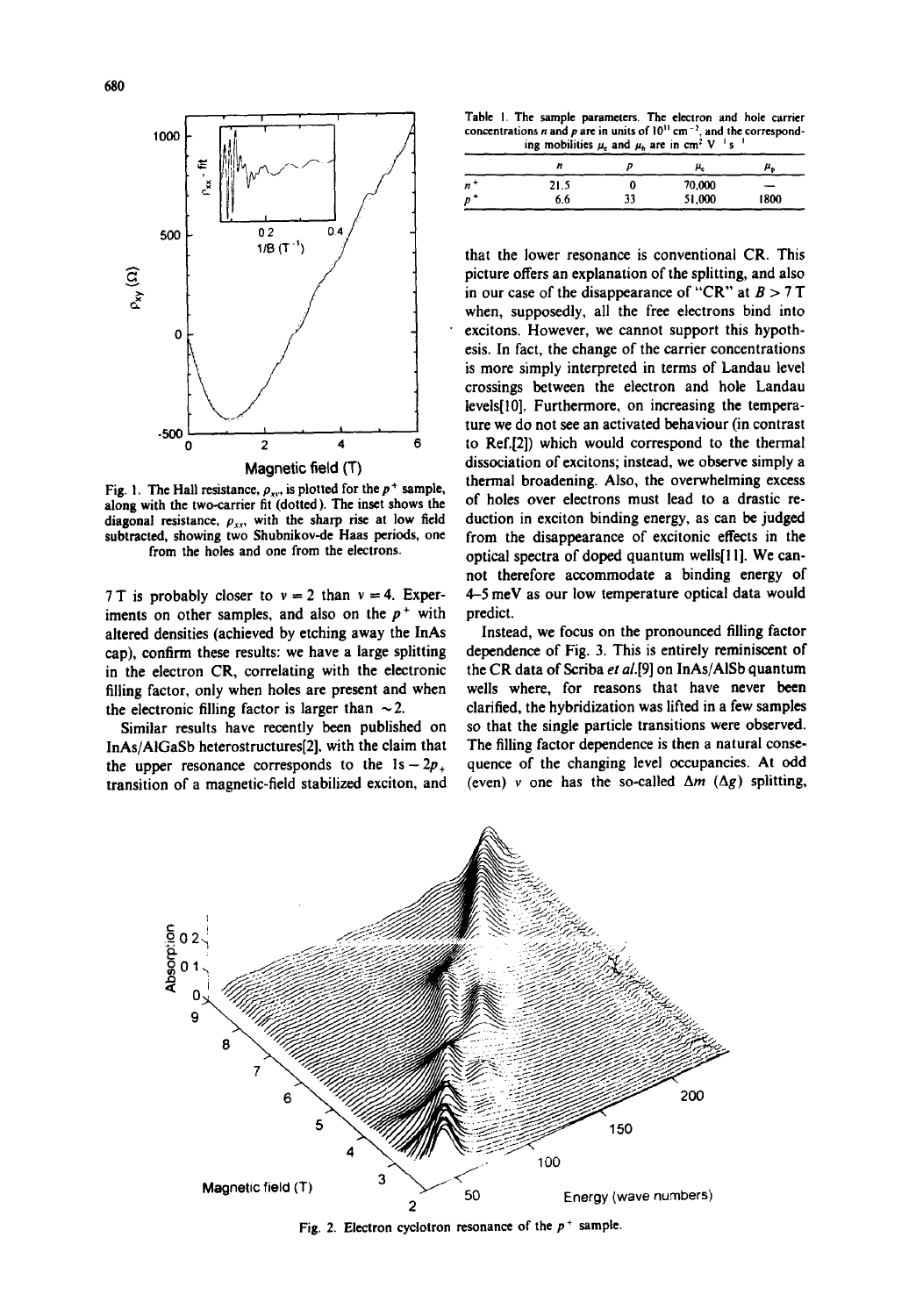

Fig. 1. The Hall resistance,  $\rho_{xy}$ , is plotted for the  $p^+$  sample, along with the two-carrier fit (dotted). The inset shows the diagonal resistance,  $\rho_{xx}$ , with the sharp rise at low field subtracted, showing two Shubnikov-de Haas periods, one from the holes and one from the electrons.

7 T is probably closer to  $v = 2$  than  $v = 4$ . Experiments on other samples, and also on the  $p^+$  with altered densities (achieved by etching away the InAs cap), confirm these results: we have a large splitting in the electron CR, correlating with the electronic filling factor, only when holes are present and when the electronic filling factor is larger than  $\sim$  2.

Similar results have recently been published on InAs/AlGaSb heterostructures[2]. with the claim that the upper resonance corresponds to the  $1s - 2p_+$ transition of a magnetic-field stabilized exciton, and

**Table I. The sample parameters. The electron and hole carrier** concentrations *n* and *p* are in units of  $10^{\circ}$  cm<sup>---</sup>, and the correspond- $\mu_{\rm e}$  mobilities  $\mu_{\rm e}$  and  $\mu_{\rm h}$  are in cm<sup>2</sup> **V** *s '* 

|    |      |    | μ.     | ۳n   |
|----|------|----|--------|------|
| n* | 21.5 |    | 70,000 |      |
| D  | 6.6  | 33 | 51,000 | 1800 |

that the lower resonance is conventional CR. This picture offers an explanation of the splitting, and also in our case of the disappearance of "CR" at  $B > 7T$ when, supposedly, all the free electrons bind into excitons. However, we cannot support this hypothesis. In fact, the change of the carrier concentrations is more simply interpreted in terms of Landau level crossings between the electron and hole Landau levels[lO]. Furthermore, on increasing the temperature we do not see an activated behaviour (in contrast to Ref.[2]) which would correspond to the thermal dissociation of excitons; instead, we observe simply a thermal broadening. Also, the overwhelming excess of holes over electrons must lead to a drastic reduction in exciton binding energy, as can be judged from the disappearance of excitonic effects in the optical spectra of doped quantum wells[Ill. We cannot therefore accommodate a binding energy of 4-5 meV as our low temperature optical data would predict.

Instead, we focus on the pronounced filling factor dependence of Fig. 3. This is entirely reminiscent of the CR data of Scriba et al.[9] on InAs/AlSb quantum wells where, for reasons that have never been clarified, the hybridization was lifted in a few samples so that the single particle transitions were observed. The filling factor dependence is then a natural consequence of the changing level occupancies. At odd (even) v one has the so-called  $\Delta m$  ( $\Delta g$ ) splitting,

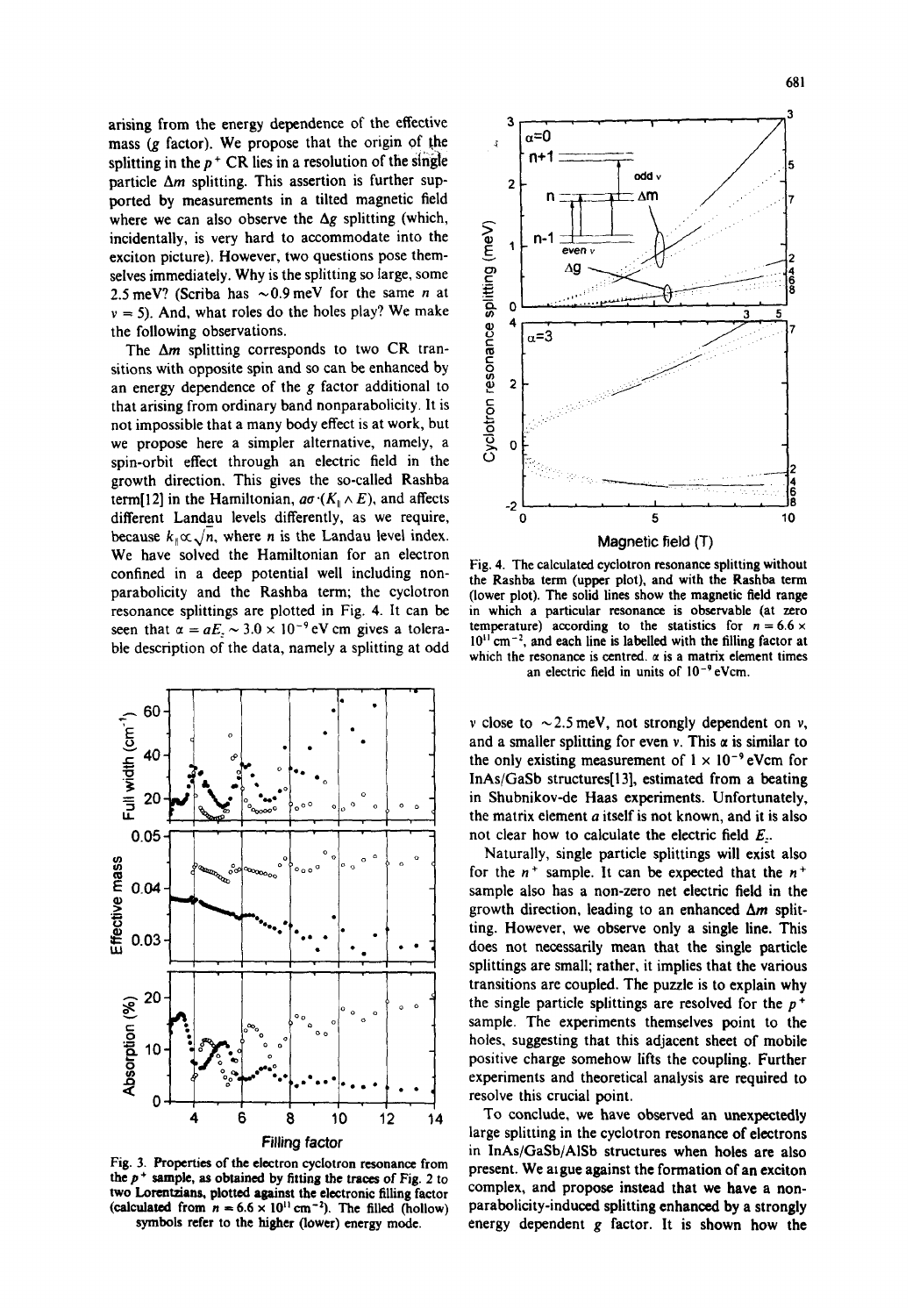arising from the energy dependence of the effective mass  $(g \text{ factor})$ . We propose that the origin of the splitting in the  $p^+$  CR lies in a resolution of the single particle  $\Delta m$  splitting. This assertion is further supported by measurements in a tilted magnetic field where we can also observe the  $\Delta g$  splitting (which, incidentally, is very hard to accommodate into the exciton picture). However, two questions pose themselves immediately. Why is the splitting so large, some 2.5 meV? (Scriba has  $\sim 0.9$  meV for the same *n* at  $v = 5$ ). And, what roles do the holes play? We make the following observations.

The  $\Delta m$  splitting corresponds to two CR transitions with opposite spin and so can be enhanced by an energy dependence of the  $g$  factor additional to that arising from ordinary band nonparabolicity. It is not impossible that a many body effect is at work, but we propose here a simpler alternative, namely, a spin-orbit effect through an electric field in the growth direction. This gives the so-called Rashba term[12] in the Hamiltonian,  $a\sigma$  ( $K_{\parallel} \wedge E$ ), and affects different Landau levels differently, as we require, because  $k_{\parallel} \propto \sqrt{n}$ , where *n* is the Landau level index. We have solved the Hamiltonian for an electron confined in a deep potential well including nonparabolicity and the Rashba term; the cyclotron resonance splittings are plotted in Fig. 4. It can be seen that  $\alpha = aE_z \sim 3.0 \times 10^{-9}$  eV cm gives a tolerable description of the data, namely a splitting at odd



Fig. 3. Properties of the electron cyclotron resonance from the  $p$ <sup>+</sup> sample, as obtained by fitting the traces of Fig. 2 to two Lorentzians. plotted against the electronic filling factor (calculated from  $n = 6.6 \times 10^{11}$  cm<sup>-2</sup>). The filled (hollow) symbols refer to the higher (lower) energy mode.



Fig. 4. The calculated cyclotron resonance splitting without the Rashba term (upper plot), and with the Rashba term (lower plot). The solid lines show the magnetic field range in which a particular resonance is observable (at zero temperature) according to the statistics for  $n = 6.6 \times$  $10^{11}$  cm<sup>-2</sup>, and each line is labelled with the filling factor at which the resonance is centred.  $\alpha$  is a matrix element times an electric field in units of  $10^{-9}$  eVcm.

v close to  $\sim$  2.5 meV, not strongly dependent on v, and a smaller splitting for even v. This  $\alpha$  is similar to the only existing measurement of  $1 \times 10^{-9}$  eVcm for InAs/GaSb structures[l3], estimated from a beating in Shubnikov-de Haas experiments. Unfortunately, the matrix element a itself is not known, and it is also not clear how to calculate the electric field  $E<sub>r</sub>$ .

Naturally, single particle splittings will exist also for the  $n^+$  sample. It can be expected that the  $n^+$ sample also has a non-zero net electric field in the growth direction, leading to an enhanced  $\Delta m$  splitting. However, we observe only a single line. This does not necessarily mean that the single particle splittings are small; rather, it implies that the various transitions are coupled. The puzzle is to explain why the single particle splittings are resolved for the  $p<sup>+</sup>$ sample. The experiments themselves point to the holes. suggesting that this adjacent sheet of mobile positive charge somehow lifts the coupling. Further experiments and theoretical analysis are required to resolve this crucial point.

To conclude, we have observed an unexpectedly large splitting in the cyclotron resonance of electrons in InAs/GaSb/AiSb structures when holes are also present. We argue against the formation of an exciton complex, and propose instead that we have a nonparabolicity-induced splitting enhanced by a strongly energy dependent g factor. It is shown how the